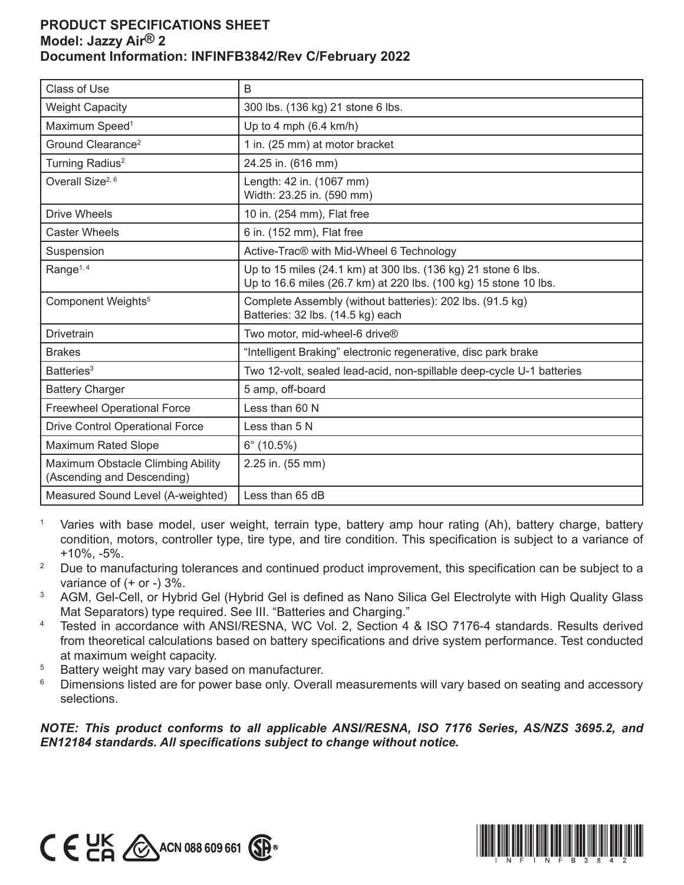## **PRODUCT SPECIFICATIONS SHEET Model: Jazzy Air® 2 Document Information: INFINFB3842/Rev C/February 2022**

| Class of Use                                                    | B                                                                                                                                 |
|-----------------------------------------------------------------|-----------------------------------------------------------------------------------------------------------------------------------|
| <b>Weight Capacity</b>                                          | 300 lbs. (136 kg) 21 stone 6 lbs.                                                                                                 |
| Maximum Speed <sup>1</sup>                                      | Up to 4 mph $(6.4 \text{ km/h})$                                                                                                  |
| Ground Clearance <sup>2</sup>                                   | 1 in. (25 mm) at motor bracket                                                                                                    |
| Turning Radius <sup>2</sup>                                     | 24.25 in. (616 mm)                                                                                                                |
| Overall Size <sup>2, 6</sup>                                    | Length: 42 in. (1067 mm)<br>Width: 23.25 in. (590 mm)                                                                             |
| <b>Drive Wheels</b>                                             | 10 in. (254 mm), Flat free                                                                                                        |
| <b>Caster Wheels</b>                                            | 6 in. (152 mm), Flat free                                                                                                         |
| Suspension                                                      | Active-Trac® with Mid-Wheel 6 Technology                                                                                          |
| Range <sup>1, 4</sup>                                           | Up to 15 miles (24.1 km) at 300 lbs. (136 kg) 21 stone 6 lbs.<br>Up to 16.6 miles (26.7 km) at 220 lbs. (100 kg) 15 stone 10 lbs. |
| Component Weights <sup>5</sup>                                  | Complete Assembly (without batteries): 202 lbs. (91.5 kg)<br>Batteries: 32 lbs. (14.5 kg) each                                    |
| <b>Drivetrain</b>                                               | Two motor, mid-wheel-6 drive®                                                                                                     |
| <b>Brakes</b>                                                   | "Intelligent Braking" electronic regenerative, disc park brake                                                                    |
| Batteries <sup>3</sup>                                          | Two 12-volt, sealed lead-acid, non-spillable deep-cycle U-1 batteries                                                             |
| <b>Battery Charger</b>                                          | 5 amp, off-board                                                                                                                  |
| <b>Freewheel Operational Force</b>                              | Less than 60 N                                                                                                                    |
| <b>Drive Control Operational Force</b>                          | Less than 5 N                                                                                                                     |
| <b>Maximum Rated Slope</b>                                      | $6^{\circ}$ (10.5%)                                                                                                               |
| Maximum Obstacle Climbing Ability<br>(Ascending and Descending) | 2.25 in. (55 mm)                                                                                                                  |
| Measured Sound Level (A-weighted)                               | Less than 65 dB                                                                                                                   |

- <sup>1</sup> Varies with base model, user weight, terrain type, battery amp hour rating (Ah), battery charge, battery condition, motors, controller type, tire type, and tire condition. This specification is subject to a variance of +10%, -5%.
- <sup>2</sup> Due to manufacturing tolerances and continued product improvement, this specification can be subject to a variance of (+ or -) 3%.
- <sup>3</sup> AGM, Gel-Cell, or Hybrid Gel (Hybrid Gel is defined as Nano Silica Gel Electrolyte with High Quality Glass Mat Separators) type required. See III. "Batteries and Charging."
- <sup>4</sup> Tested in accordance with ANSI/RESNA, WC Vol. 2, Section 4 & ISO 7176-4 standards. Results derived from theoretical calculations based on battery specifications and drive system performance. Test conducted at maximum weight capacity.
- <sup>5</sup> Battery weight may vary based on manufacturer.
- <sup>6</sup> Dimensions listed are for power base only. Overall measurements will vary based on seating and accessory selections.

*NOTE: This product conforms to all applicable ANSI/RESNA, ISO 7176 Series, AS/NZS 3695.2, and EN12184 standards. All specifications subject to change without notice.*